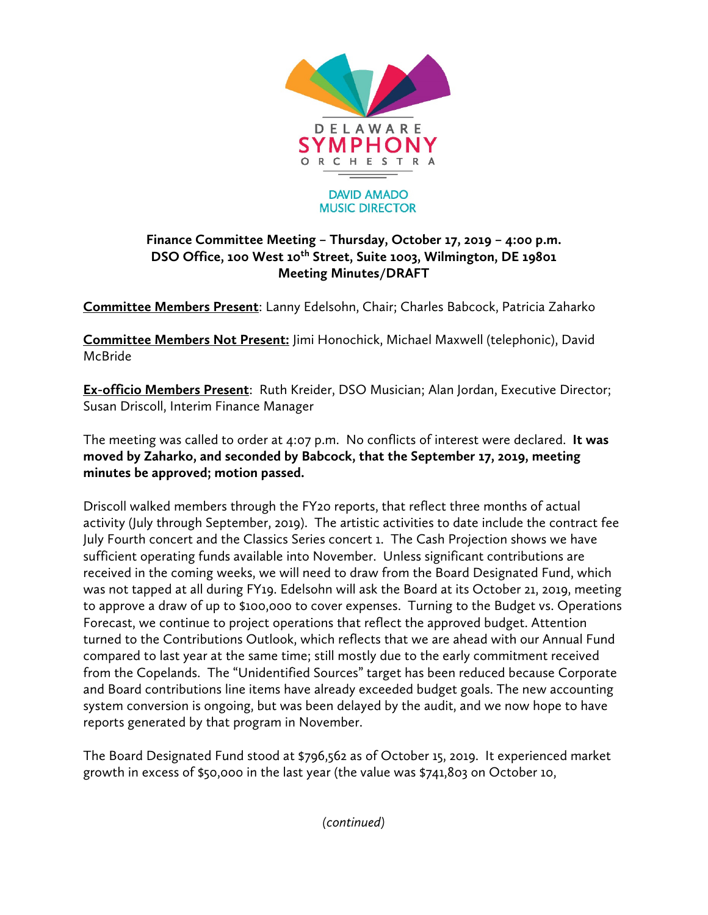

## **Finance Committee Meeting – Thursday, October 17, 2019 – 4:00 p.m. DSO Office, 100 West 10th Street, Suite 1003, Wilmington, DE 19801 Meeting Minutes/DRAFT**

**Committee Members Present**: Lanny Edelsohn, Chair; Charles Babcock, Patricia Zaharko

**Committee Members Not Present:** Jimi Honochick, Michael Maxwell (telephonic), David McBride

**Ex-officio Members Present**: Ruth Kreider, DSO Musician; Alan Jordan, Executive Director; Susan Driscoll, Interim Finance Manager

The meeting was called to order at 4:07 p.m. No conflicts of interest were declared. **It was moved by Zaharko, and seconded by Babcock, that the September 17, 2019, meeting minutes be approved; motion passed.** 

Driscoll walked members through the FY20 reports, that reflect three months of actual activity (July through September, 2019). The artistic activities to date include the contract fee July Fourth concert and the Classics Series concert 1. The Cash Projection shows we have sufficient operating funds available into November. Unless significant contributions are received in the coming weeks, we will need to draw from the Board Designated Fund, which was not tapped at all during FY19. Edelsohn will ask the Board at its October 21, 2019, meeting to approve a draw of up to \$100,000 to cover expenses. Turning to the Budget vs. Operations Forecast, we continue to project operations that reflect the approved budget. Attention turned to the Contributions Outlook, which reflects that we are ahead with our Annual Fund compared to last year at the same time; still mostly due to the early commitment received from the Copelands. The "Unidentified Sources" target has been reduced because Corporate and Board contributions line items have already exceeded budget goals. The new accounting system conversion is ongoing, but was been delayed by the audit, and we now hope to have reports generated by that program in November.

The Board Designated Fund stood at \$796,562 as of October 15, 2019. It experienced market growth in excess of \$50,000 in the last year (the value was \$741,803 on October 10,

*(continued)*